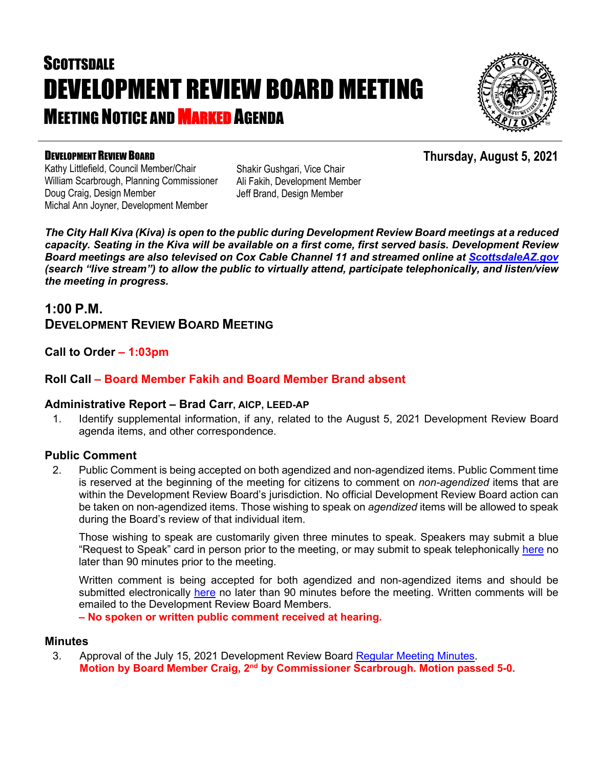# **SCOTTSDALE** DEVELOPMENT REVIEW BOARD MEETING **MEETING NOTICE AND MARKED AGENDA**



#### DEVELOPMENT REVIEW BOARD

Kathy Littlefield, Council Member/Chair William Scarbrough, Planning Commissioner Doug Craig, Design Member Michal Ann Joyner, Development Member

Shakir Gushgari, Vice Chair Ali Fakih, Development Member Jeff Brand, Design Member

*The City Hall Kiva (Kiva) is open to the public during Development Review Board meetings at a reduced capacity. Seating in the Kiva will be available on a first come, first served basis. Development Review Board meetings are also televised on Cox Cable Channel 11 and streamed online at [ScottsdaleAZ.gov](http://www.scottsdaleaz.gov/) (search "live stream") to allow the public to virtually attend, participate telephonically, and listen/view the meeting in progress.*

### **1:00 P.M. DEVELOPMENT REVIEW BOARD MEETING**

**Call to Order – 1:03pm**

### **Roll Call – Board Member Fakih and Board Member Brand absent**

#### **Administrative Report – Brad Carr, AICP, LEED-AP**

1. Identify supplemental information, if any, related to the August 5, 2021 Development Review Board agenda items, and other correspondence.

#### **Public Comment**

2. Public Comment is being accepted on both agendized and non-agendized items. Public Comment time is reserved at the beginning of the meeting for citizens to comment on *non-agendized* items that are within the Development Review Board's jurisdiction. No official Development Review Board action can be taken on non-agendized items. Those wishing to speak on *agendized* items will be allowed to speak during the Board's review of that individual item.

Those wishing to speak are customarily given three minutes to speak. Speakers may submit a blue "Request to Speak" card in person prior to the meeting, or may submit to speak telephonically [here](https://www.scottsdaleaz.gov/boards/development-review-board/spoken-comment) no later than 90 minutes prior to the meeting.

Written comment is being accepted for both agendized and non-agendized items and should be submitted electronically [here](https://www.scottsdaleaz.gov/boards/development-review-board/public-comment) no later than 90 minutes before the meeting. Written comments will be emailed to the Development Review Board Members.

**– No spoken or written public comment received at hearing.**

#### **Minutes**

3. Approval of the July 15, 2021 Development Review Board [Regular Meeting Minutes.](https://eservices.scottsdaleaz.gov/planning/projectsummary/unrelated_documents/DRB_MEETING_MINUTES_07152021.pdf) **Motion by Board Member Craig, 2nd by Commissioner Scarbrough. Motion passed 5-0.**

## **Thursday, August 5, 2021**